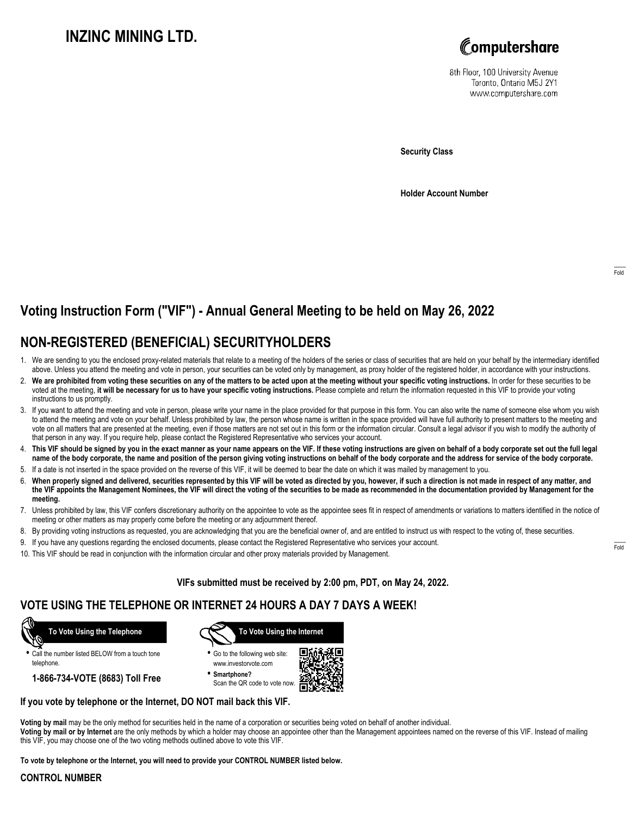# **INZINC MINING LTD.**



8th Floor, 100 University Avenue Toronto, Ontario M5J 2Y1 www.computershare.com

**Security Class**

**Holder Account Number**

# **Voting Instruction Form ("VIF") - Annual General Meeting to be held on May 26, 2022**

## **NON-REGISTERED (BENEFICIAL) SECURITYHOLDERS**

- 1. We are sending to you the enclosed proxy-related materials that relate to a meeting of the holders of the series or class of securities that are held on your behalf by the intermediary identified above. Unless you attend the meeting and vote in person, your securities can be voted only by management, as proxy holder of the registered holder, in accordance with your instructions.
- 2. **We are prohibited from voting these securities on any of the matters to be acted upon at the meeting without your specific voting instructions.** In order for these securities to be voted at the meeting, **it will be necessary for us to have your specific voting instructions.** Please complete and return the information requested in this VIF to provide your voting instructions to us promptly.
- 3. If you want to attend the meeting and vote in person, please write your name in the place provided for that purpose in this form. You can also write the name of someone else whom you wish to attend the meeting and vote on your behalf. Unless prohibited by law, the person whose name is written in the space provided will have full authority to present matters to the meeting and vote on all matters that are presented at the meeting, even if those matters are not set out in this form or the information circular. Consult a legal advisor if you wish to modify the authority of that person in any way. If you require help, please contact the Registered Representative who services your account.
- 4. **This VIF should be signed by you in the exact manner as your name appears on the VIF. If these voting instructions are given on behalf of a body corporate set out the full legal name of the body corporate, the name and position of the person giving voting instructions on behalf of the body corporate and the address for service of the body corporate.**
- 5. If a date is not inserted in the space provided on the reverse of this VIF, it will be deemed to bear the date on which it was mailed by management to you.
- 6. **When properly signed and delivered, securities represented by this VIF will be voted as directed by you, however, if such a direction is not made in respect of any matter, and the VIF appoints the Management Nominees, the VIF will direct the voting of the securities to be made as recommended in the documentation provided by Management for the meeting.**
- 7. Unless prohibited by law, this VIF confers discretionary authority on the appointee to vote as the appointee sees fit in respect of amendments or variations to matters identified in the notice of meeting or other matters as may properly come before the meeting or any adjournment thereof.
- 8. By providing voting instructions as requested, you are acknowledging that you are the beneficial owner of, and are entitled to instruct us with respect to the voting of, these securities.
- 9. If you have any questions regarding the enclosed documents, please contact the Registered Representative who services your account.
- 10. This VIF should be read in conjunction with the information circular and other proxy materials provided by Management.

**VIFs submitted must be received by 2:00 pm, PDT, on May 24, 2022.**

#### **VOTE USING THE TELEPHONE OR INTERNET 24 HOURS A DAY 7 DAYS A WEEK!**



**•** Call the number listed BELOW from a touch tone telephone.

**1-866-734-VOTE (8683) Toll Free**



**•** Go to the following web site: www.investorvote.com

**• Smartphone?** Scan the QR code to vote now.



#### **If you vote by telephone or the Internet, DO NOT mail back this VIF.**

**Voting by mail** may be the only method for securities held in the name of a corporation or securities being voted on behalf of another individual.

**Voting by mail or by Internet** are the only methods by which a holder may choose an appointee other than the Management appointees named on the reverse of this VIF. Instead of mailing this VIF, you may choose one of the two voting methods outlined above to vote this VIF.

**To vote by telephone or the Internet, you will need to provide your CONTROL NUMBER listed below.**

#### **CONTROL NUMBER**